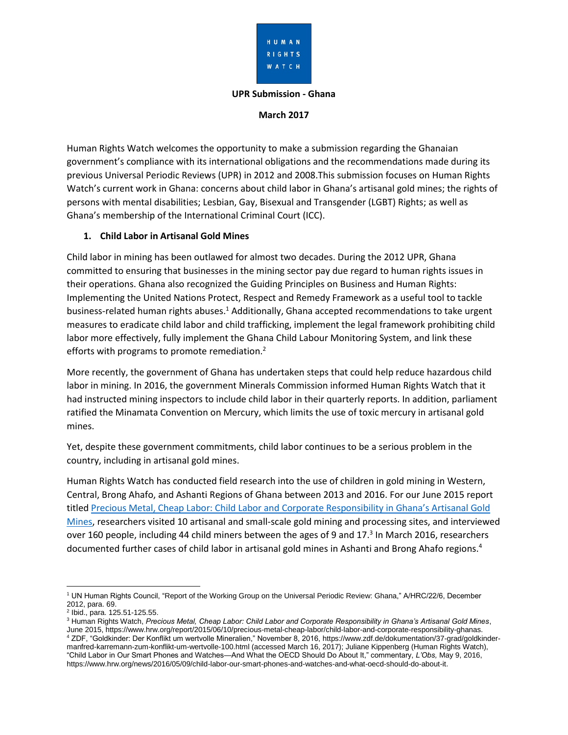

#### **UPR Submission - Ghana**

#### **March 2017**

Human Rights Watch welcomes the opportunity to make a submission regarding the Ghanaian government's compliance with its international obligations and the recommendations made during its previous Universal Periodic Reviews (UPR) in 2012 and 2008.This submission focuses on Human Rights Watch's current work in Ghana: concerns about child labor in Ghana's artisanal gold mines; the rights of persons with mental disabilities; Lesbian, Gay, Bisexual and Transgender (LGBT) Rights; as well as Ghana's membership of the International Criminal Court (ICC).

#### **1. Child Labor in Artisanal Gold Mines**

Child labor in mining has been outlawed for almost two decades. During the 2012 UPR, Ghana committed to ensuring that businesses in the mining sector pay due regard to human rights issues in their operations. Ghana also recognized the Guiding Principles on Business and Human Rights: Implementing the United Nations Protect, Respect and Remedy Framework as a useful tool to tackle business-related human rights abuses.<sup>1</sup> Additionally, Ghana accepted recommendations to take urgent measures to eradicate child labor and child trafficking, implement the legal framework prohibiting child labor more effectively, fully implement the Ghana Child Labour Monitoring System, and link these efforts with programs to promote remediation.<sup>2</sup>

More recently, the government of Ghana has undertaken steps that could help reduce hazardous child labor in mining. In 2016, the government Minerals Commission informed Human Rights Watch that it had instructed mining inspectors to include child labor in their quarterly reports. In addition, parliament ratified the Minamata Convention on Mercury, which limits the use of toxic mercury in artisanal gold mines.

Yet, despite these government commitments, child labor continues to be a serious problem in the country, including in artisanal gold mines.

Human Rights Watch has conducted field research into the use of children in gold mining in Western, Central, Brong Ahafo, and Ashanti Regions of Ghana between 2013 and 2016. For our June 2015 report titled [Precious Metal, Cheap Labor: Child Labor and Corporate Responsibility in Ghana's Artisanal Gold](https://www.hrw.org/report/2015/06/10/precious-metal-cheap-labor/child-labor-and-corporate-responsibility-ghanas)  [Mines,](https://www.hrw.org/report/2015/06/10/precious-metal-cheap-labor/child-labor-and-corporate-responsibility-ghanas) researchers visited 10 artisanal and small-scale gold mining and processing sites, and interviewed over 160 people, including 44 child miners between the ages of 9 and 17.<sup>3</sup> In March 2016, researchers documented further cases of child labor in artisanal gold mines in Ashanti and Brong Ahafo regions.<sup>4</sup>

 $\overline{\phantom{a}}$ <sup>1</sup> UN Human Rights Council, "Report of the Working Group on the Universal Periodic Review: Ghana," A/HRC/22/6, December 2012, para. 69.

<sup>&</sup>lt;sup>2</sup> Ibid., para. 125.51-125.55.

<sup>3</sup> Human Rights Watch, *Precious Metal, Cheap Labor: Child Labor and Corporate Responsibility in Ghana's Artisanal Gold Mines*, June 2015, https://www.hrw.org/report/2015/06/10/precious-metal-cheap-labor/child-labor-and-corporate-responsibility-ghanas. <sup>4</sup> ZDF, "Goldkinder: Der Konflikt um wertvolle Mineralien," November 8, 2016, [https://www.zdf.de/dokumentation/37-grad/goldkinder](https://www.zdf.de/dokumentation/37-grad/goldkinder-manfred-karremann-zum-konflikt-um-wertvolle-100.html)[manfred-karremann-zum-konflikt-um-wertvolle-100.html](https://www.zdf.de/dokumentation/37-grad/goldkinder-manfred-karremann-zum-konflikt-um-wertvolle-100.html) (accessed March 16, 2017); Juliane Kippenberg (Human Rights Watch), "Child Labor in Our Smart Phones and Watches—And What the OECD Should Do About It," commentary, *L'Obs,* May 9, 2016, https://www.hrw.org/news/2016/05/09/child-labor-our-smart-phones-and-watches-and-what-oecd-should-do-about-it.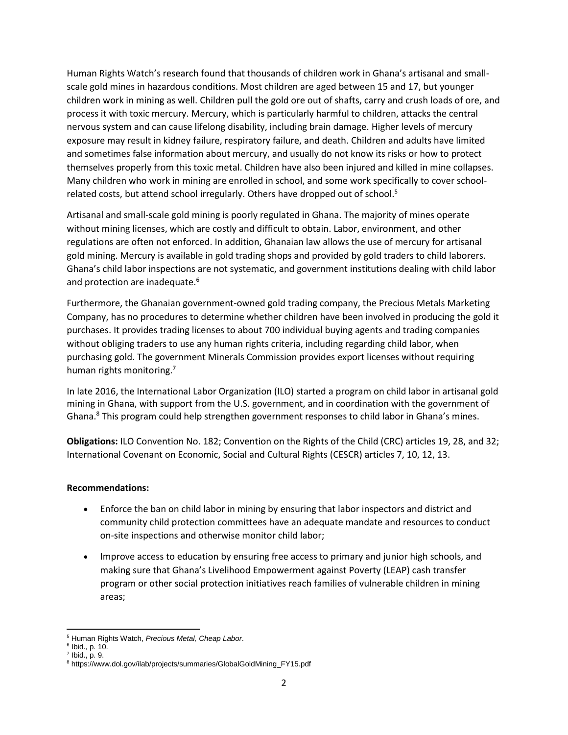Human Rights Watch's research found that thousands of children work in Ghana's artisanal and smallscale gold mines in hazardous conditions. Most children are aged between 15 and 17, but younger children work in mining as well. Children pull the gold ore out of shafts, carry and crush loads of ore, and process it with toxic mercury. Mercury, which is particularly harmful to children, attacks the central nervous system and can cause lifelong disability, including brain damage. Higher levels of mercury exposure may result in kidney failure, respiratory failure, and death. Children and adults have limited and sometimes false information about mercury, and usually do not know its risks or how to protect themselves properly from this toxic metal. Children have also been injured and killed in mine collapses. Many children who work in mining are enrolled in school, and some work specifically to cover schoolrelated costs, but attend school irregularly. Others have dropped out of school.<sup>5</sup>

Artisanal and small-scale gold mining is poorly regulated in Ghana. The majority of mines operate without mining licenses, which are costly and difficult to obtain. Labor, environment, and other regulations are often not enforced. In addition, Ghanaian law allows the use of mercury for artisanal gold mining. Mercury is available in gold trading shops and provided by gold traders to child laborers. Ghana's child labor inspections are not systematic, and government institutions dealing with child labor and protection are inadequate.<sup>6</sup>

Furthermore, the Ghanaian government-owned gold trading company, the Precious Metals Marketing Company, has no procedures to determine whether children have been involved in producing the gold it purchases. It provides trading licenses to about 700 individual buying agents and trading companies without obliging traders to use any human rights criteria, including regarding child labor, when purchasing gold. The government Minerals Commission provides export licenses without requiring human rights monitoring.<sup>7</sup>

In late 2016, the International Labor Organization (ILO) started a program on child labor in artisanal gold mining in Ghana, with support from the U.S. government, and in coordination with the government of Ghana.<sup>8</sup> This program could help strengthen government responses to child labor in Ghana's mines.

**Obligations:** ILO Convention No. 182; Convention on the Rights of the Child (CRC) articles 19, 28, and 32; International Covenant on Economic, Social and Cultural Rights (CESCR) articles 7, 10, 12, 13.

#### **Recommendations:**

- Enforce the ban on child labor in mining by ensuring that labor inspectors and district and community child protection committees have an adequate mandate and resources to conduct on-site inspections and otherwise monitor child labor;
- Improve access to education by ensuring free access to primary and junior high schools, and making sure that Ghana's Livelihood Empowerment against Poverty (LEAP) cash transfer program or other social protection initiatives reach families of vulnerable children in mining areas;

l <sup>5</sup> Human Rights Watch, *Precious Metal, Cheap Labor*.

<sup>6</sup> Ibid., p. 10.

 $7$  Ibid., p. 9.

<sup>8</sup> https://www.dol.gov/ilab/projects/summaries/GlobalGoldMining\_FY15.pdf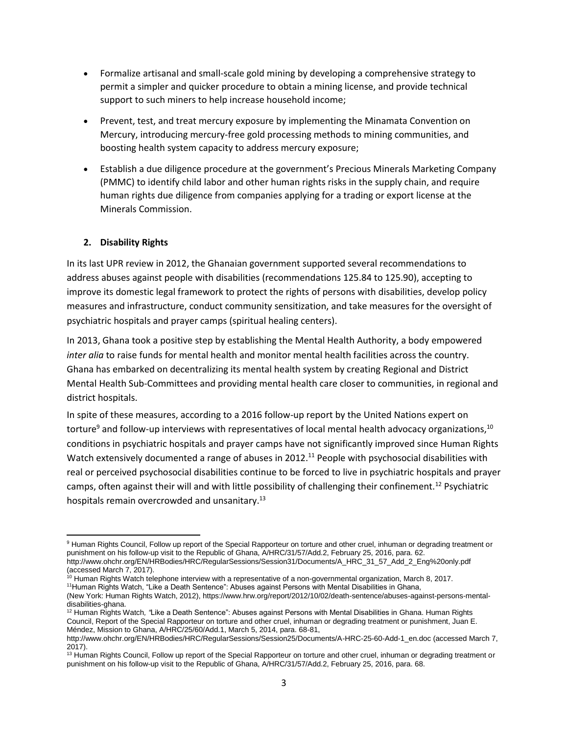- Formalize artisanal and small-scale gold mining by developing a comprehensive strategy to permit a simpler and quicker procedure to obtain a mining license, and provide technical support to such miners to help increase household income;
- Prevent, test, and treat mercury exposure by implementing the Minamata Convention on Mercury, introducing mercury-free gold processing methods to mining communities, and boosting health system capacity to address mercury exposure;
- Establish a due diligence procedure at the government's Precious Minerals Marketing Company (PMMC) to identify child labor and other human rights risks in the supply chain, and require human rights due diligence from companies applying for a trading or export license at the Minerals Commission.

#### **2. Disability Rights**

In its last UPR review in 2012, the Ghanaian government supported several recommendations to address abuses against people with disabilities (recommendations 125.84 to 125.90), accepting to improve its domestic legal framework to protect the rights of persons with disabilities, develop policy measures and infrastructure, conduct community sensitization, and take measures for the oversight of psychiatric hospitals and prayer camps (spiritual healing centers).

In 2013, Ghana took a positive step by establishing the Mental Health Authority, a body empowered *inter alia* to raise funds for mental health and monitor mental health facilities across the country. Ghana has embarked on decentralizing its mental health system by creating Regional and District Mental Health Sub-Committees and providing mental health care closer to communities, in regional and district hospitals.

In spite of these measures, according to a 2016 follow-up report by the United Nations expert on torture<sup>9</sup> and follow-up interviews with representatives of local mental health advocacy organizations,<sup>10</sup> conditions in psychiatric hospitals and prayer camps have not significantly improved since Human Rights Watch extensively documented a range of abuses in 2012.<sup>11</sup> People with psychosocial disabilities with real or perceived psychosocial disabilities continue to be forced to live in psychiatric hospitals and prayer camps, often against their will and with little possibility of challenging their confinement.<sup>12</sup> Psychiatric hospitals remain overcrowded and unsanitary.<sup>13</sup>

 $\overline{\phantom{a}}$ 9 Human Rights Council, Follow up report of the Special Rapporteur on torture and other cruel, inhuman or degrading treatment or punishment on his follow-up visit to the Republic of Ghana, A/HRC/31/57/Add.2, February 25, 2016, para. 62. [http://www.ohchr.org/EN/HRBodies/HRC/RegularSessions/Session31/Documents/A\\_HRC\\_31\\_57\\_Add\\_2\\_Eng%20only.pdf](http://www.ohchr.org/EN/HRBodies/HRC/RegularSessions/Session31/Documents/A_HRC_31_57_Add_2_Eng%20only.pdf) (accessed March 7, 2017).

<sup>10</sup> Human Rights Watch telephone interview with a representative of a non-governmental organization, March 8, 2017. <sup>11</sup>Human Rights Watch, "Like a Death Sentence": Abuses against Persons with Mental Disabilities in Ghana,

<sup>(</sup>New York: Human Rights Watch, 2012), https://www.hrw.org/report/2012/10/02/death-sentence/abuses-against-persons-mentaldisabilities-ghana.

<sup>12</sup> Human Rights Watch*, "*Like a Death Sentence": Abuses against Persons with Mental Disabilities in Ghana. Human Rights Council, Report of the Special Rapporteur on torture and other cruel, inhuman or degrading treatment or punishment, Juan E. Méndez, Mission to Ghana, A/HRC/25/60/Add.1, March 5, 2014, para. 68-81,

[http://www.ohchr.org/EN/HRBodies/HRC/RegularSessions/Session25/Documents/A-HRC-25-60-Add-1\\_en.doc](http://www.ohchr.org/EN/HRBodies/HRC/RegularSessions/Session25/Documents/A-HRC-25-60-Add-1_en.doc) (accessed March 7, 2017).

<sup>&</sup>lt;sup>13</sup> Human Rights Council, Follow up report of the Special Rapporteur on torture and other cruel, inhuman or degrading treatment or punishment on his follow-up visit to the Republic of Ghana, A/HRC/31/57/Add.2, February 25, 2016, para. 68.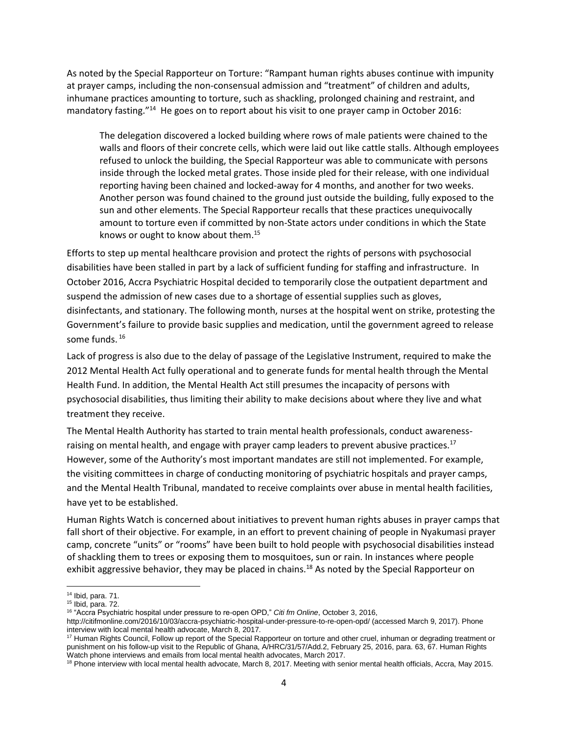As noted by the Special Rapporteur on Torture: "Rampant human rights abuses continue with impunity at prayer camps, including the non-consensual admission and "treatment" of children and adults, inhumane practices amounting to torture, such as shackling, prolonged chaining and restraint, and mandatory fasting."<sup>14</sup> He goes on to report about his visit to one prayer camp in October 2016:

The delegation discovered a locked building where rows of male patients were chained to the walls and floors of their concrete cells, which were laid out like cattle stalls. Although employees refused to unlock the building, the Special Rapporteur was able to communicate with persons inside through the locked metal grates. Those inside pled for their release, with one individual reporting having been chained and locked-away for 4 months, and another for two weeks. Another person was found chained to the ground just outside the building, fully exposed to the sun and other elements. The Special Rapporteur recalls that these practices unequivocally amount to torture even if committed by non-State actors under conditions in which the State knows or ought to know about them.<sup>15</sup>

Efforts to step up mental healthcare provision and protect the rights of persons with psychosocial disabilities have been stalled in part by a lack of sufficient funding for staffing and infrastructure. In October 2016, Accra Psychiatric Hospital decided to temporarily close the outpatient department and suspend the admission of new cases due to a shortage of essential supplies such as gloves, disinfectants, and stationary. The following month, nurses at the hospital went on strike, protesting the Government's failure to provide basic supplies and medication, until the government agreed to release some funds. <sup>16</sup>

Lack of progress is also due to the delay of passage of the Legislative Instrument, required to make the 2012 Mental Health Act fully operational and to generate funds for mental health through the Mental Health Fund. In addition, the Mental Health Act still presumes the incapacity of persons with psychosocial disabilities, thus limiting their ability to make decisions about where they live and what treatment they receive.

The Mental Health Authority has started to train mental health professionals, conduct awarenessraising on mental health, and engage with prayer camp leaders to prevent abusive practices.<sup>17</sup> However, some of the Authority's most important mandates are still not implemented. For example, the visiting committees in charge of conducting monitoring of psychiatric hospitals and prayer camps, and the Mental Health Tribunal, mandated to receive complaints over abuse in mental health facilities, have yet to be established.

Human Rights Watch is concerned about initiatives to prevent human rights abuses in prayer camps that fall short of their objective. For example, in an effort to prevent chaining of people in Nyakumasi prayer camp, concrete "units" or "rooms" have been built to hold people with psychosocial disabilities instead of shackling them to trees or exposing them to mosquitoes, sun or rain. In instances where people exhibit aggressive behavior, they may be placed in chains.<sup>18</sup> As noted by the Special Rapporteur on

 $\overline{\phantom{a}}$ 

<sup>14</sup> Ibid, para. 71.

<sup>15</sup> Ibid, para. 72.

<sup>16</sup> "Accra Psychiatric hospital under pressure to re-open OPD," *Citi fm Online*, October 3, 2016,

<http://citifmonline.com/2016/10/03/accra-psychiatric-hospital-under-pressure-to-re-open-opd/> (accessed March 9, 2017). Phone interview with local mental health advocate, March 8, 2017.

<sup>&</sup>lt;sup>17</sup> Human Rights Council, Follow up report of the Special Rapporteur on torture and other cruel, inhuman or degrading treatment or punishment on his follow-up visit to the Republic of Ghana, A/HRC/31/57/Add.2, February 25, 2016, para. 63, 67. Human Rights Watch phone interviews and emails from local mental health advocates, March 2017.

<sup>&</sup>lt;sup>18</sup> Phone interview with local mental health advocate, March 8, 2017. Meeting with senior mental health officials, Accra, May 2015.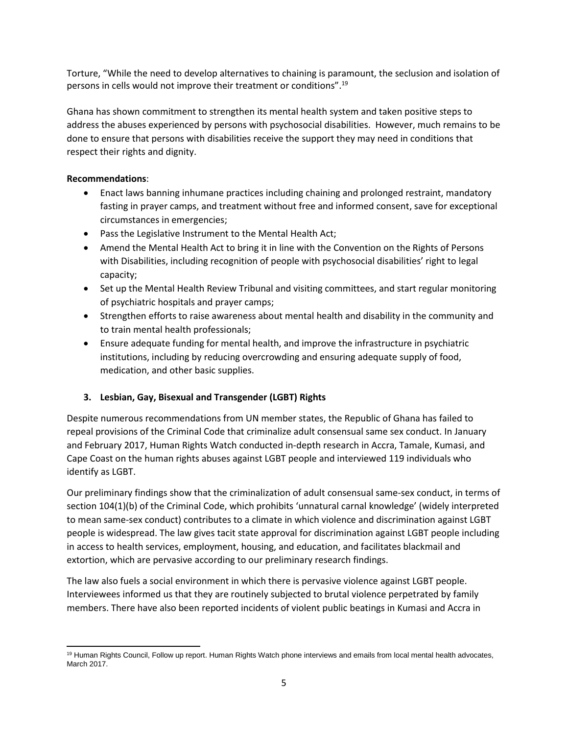Torture, "While the need to develop alternatives to chaining is paramount, the seclusion and isolation of persons in cells would not improve their treatment or conditions".<sup>19</sup>

Ghana has shown commitment to strengthen its mental health system and taken positive steps to address the abuses experienced by persons with psychosocial disabilities. However, much remains to be done to ensure that persons with disabilities receive the support they may need in conditions that respect their rights and dignity.

# **Recommendations**:

- Enact laws banning inhumane practices including chaining and prolonged restraint, mandatory fasting in prayer camps, and treatment without free and informed consent, save for exceptional circumstances in emergencies;
- Pass the Legislative Instrument to the Mental Health Act;
- Amend the Mental Health Act to bring it in line with the Convention on the Rights of Persons with Disabilities, including recognition of people with psychosocial disabilities' right to legal capacity;
- Set up the Mental Health Review Tribunal and visiting committees, and start regular monitoring of psychiatric hospitals and prayer camps;
- Strengthen efforts to raise awareness about mental health and disability in the community and to train mental health professionals;
- Ensure adequate funding for mental health, and improve the infrastructure in psychiatric institutions, including by reducing overcrowding and ensuring adequate supply of food, medication, and other basic supplies.

# **3. Lesbian, Gay, Bisexual and Transgender (LGBT) Rights**

Despite numerous recommendations from UN member states, the Republic of Ghana has failed to repeal provisions of the Criminal Code that criminalize adult consensual same sex conduct. In January and February 2017, Human Rights Watch conducted in-depth research in Accra, Tamale, Kumasi, and Cape Coast on the human rights abuses against LGBT people and interviewed 119 individuals who identify as LGBT.

Our preliminary findings show that the criminalization of adult consensual same-sex conduct, in terms of section 104(1)(b) of the Criminal Code, which prohibits 'unnatural carnal knowledge' (widely interpreted to mean same-sex conduct) contributes to a climate in which violence and discrimination against LGBT people is widespread. The law gives tacit state approval for discrimination against LGBT people including in access to health services, employment, housing, and education, and facilitates blackmail and extortion, which are pervasive according to our preliminary research findings.

The law also fuels a social environment in which there is pervasive violence against LGBT people. Interviewees informed us that they are routinely subjected to brutal violence perpetrated by family members. There have also been reported incidents of violent public beatings in Kumasi and Accra in

 $\overline{\phantom{a}}$ <sup>19</sup> Human Rights Council, Follow up report. Human Rights Watch phone interviews and emails from local mental health advocates, March 2017.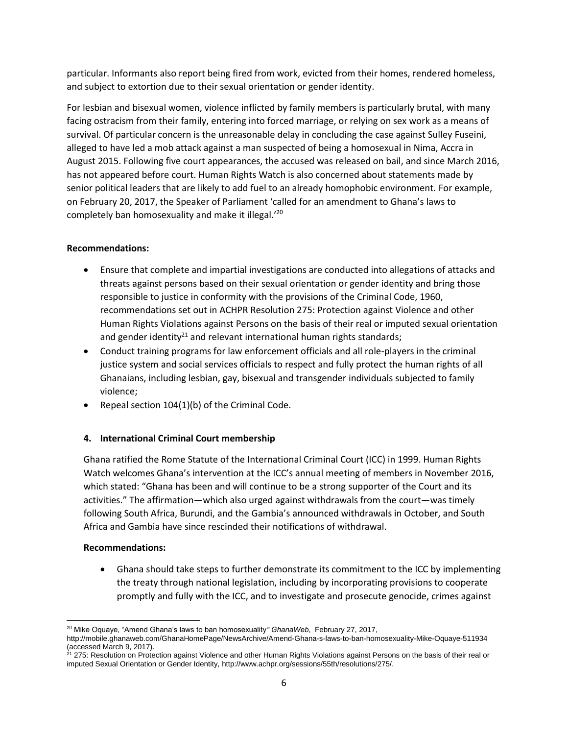particular. Informants also report being fired from work, evicted from their homes, rendered homeless, and subject to extortion due to their sexual orientation or gender identity.

For lesbian and bisexual women, violence inflicted by family members is particularly brutal, with many facing ostracism from their family, entering into forced marriage, or relying on sex work as a means of survival. Of particular concern is the unreasonable delay in concluding the case against Sulley Fuseini, alleged to have led a mob attack against a man suspected of being a homosexual in Nima, Accra in August 2015. Following five court appearances, the accused was released on bail, and since March 2016, has not appeared before court. Human Rights Watch is also concerned about statements made by senior political leaders that are likely to add fuel to an already homophobic environment. For example, on February 20, 2017, the Speaker of Parliament 'called for an amendment to Ghana's laws to completely ban homosexuality and make it illegal.<sup>'20</sup>

# **Recommendations:**

- Ensure that complete and impartial investigations are conducted into allegations of attacks and threats against persons based on their sexual orientation or gender identity and bring those responsible to justice in conformity with the provisions of the Criminal Code, 1960, recommendations set out in ACHPR Resolution 275: Protection against Violence and other Human Rights Violations against Persons on the basis of their real or imputed sexual orientation and gender identity<sup>21</sup> and relevant international human rights standards;
- Conduct training programs for law enforcement officials and all role-players in the criminal justice system and social services officials to respect and fully protect the human rights of all Ghanaians, including lesbian, gay, bisexual and transgender individuals subjected to family violence;
- Repeal section  $104(1)(b)$  of the Criminal Code.

# **4. International Criminal Court membership**

Ghana ratified the Rome Statute of the International Criminal Court (ICC) in 1999. Human Rights Watch welcomes Ghana's intervention at the ICC's annual meeting of members in November 2016, which stated: "Ghana has been and will continue to be a strong supporter of the Court and its activities." The affirmation—which also urged against withdrawals from the court—was timely following South Africa, Burundi, and the Gambia's announced withdrawals in October, and South Africa and Gambia have since rescinded their notifications of withdrawal.

# **Recommendations:**

 Ghana should take steps to further demonstrate its commitment to the ICC by implementing the treaty through national legislation, including by incorporating provisions to cooperate promptly and fully with the ICC, and to investigate and prosecute genocide, crimes against

 $\overline{a}$ <sup>20</sup> Mike Oquaye, "Amend Ghana's laws to ban homosexuality*" GhanaWeb*, February 27, 2017,

<http://mobile.ghanaweb.com/GhanaHomePage/NewsArchive/Amend-Ghana-s-laws-to-ban-homosexuality-Mike-Oquaye-511934> (accessed March 9, 2017).

<sup>&</sup>lt;sup>21</sup> 275: Resolution on Protection against Violence and other Human Rights Violations against Persons on the basis of their real or imputed Sexual Orientation or Gender Identity, [http://www.achpr.org/sessions/55th/resolutions/275/.](http://www.achpr.org/sessions/55th/resolutions/275/)